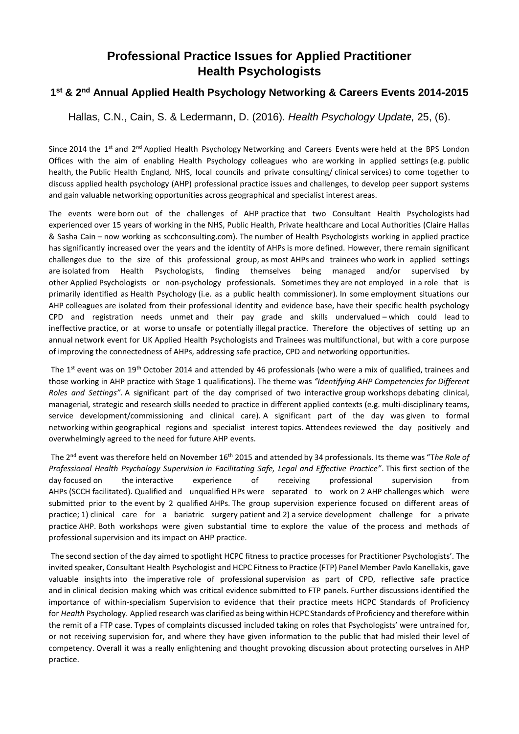## **Professional Practice Issues for Applied Practitioner Health Psychologists**

## **1 st & 2nd Annual Applied Health Psychology Networking & Careers Events 2014-2015**

Hallas, C.N., Cain, S. & Ledermann, D. (2016). *Health Psychology Update,* 25, (6).

Since 2014 the 1<sup>st</sup> and 2<sup>nd</sup> Applied Health Psychology Networking and Careers Events were held at the BPS London Offices with the aim of enabling Health Psychology colleagues who are working in applied settings (e.g. public health, the Public Health England, NHS, local councils and private consulting/ clinical services) to come together to discuss applied health psychology (AHP) professional practice issues and challenges, to develop peer support systems and gain valuable networking opportunities across geographical and specialist interest areas.

The events were born out of the challenges of AHP practice that two Consultant Health Psychologists had experienced over 15 years of working in the NHS, Public Health, Private healthcare and Local Authorities (Claire Hallas & Sasha Cain – now working as scchconsulting.com). The number of Health Psychologists working in applied practice has significantly increased over the years and the identity of AHPs is more defined. However, there remain significant challenges due to the size of this professional group, as most AHPs and trainees who work in applied settings are isolated from Health Psychologists, finding themselves being managed and/or supervised by other Applied Psychologists or non-psychology professionals. Sometimes they are not employed in a role that is primarily identified as Health Psychology (i.e. as a public health commissioner). In some employment situations our AHP colleagues are isolated from their professional identity and evidence base, have their specific health psychology CPD and registration needs unmet and their pay grade and skills undervalued – which could lead to ineffective practice, or at worse to unsafe or potentially illegal practice. Therefore the objectives of setting up an annual network event for UK Applied Health Psychologists and Trainees was multifunctional, but with a core purpose of improving the connectedness of AHPs, addressing safe practice, CPD and networking opportunities.

The 1<sup>st</sup> event was on 19<sup>th</sup> October 2014 and attended by 46 professionals (who were a mix of qualified, trainees and those working in AHP practice with Stage 1 qualifications). The theme was *"Identifying AHP Competencies for Different Roles and Settings"*. A significant part of the day comprised of two interactive group workshops debating clinical, managerial, strategic and research skills needed to practice in different applied contexts (e.g. multi-disciplinary teams, service development/commissioning and clinical care). A significant part of the day was given to formal networking within geographical regions and specialist interest topics. Attendees reviewed the day positively and overwhelmingly agreed to the need for future AHP events.

The 2 nd event was therefore held on November 16th 2015 and attended by 34 professionals. Its theme was "T*he Role of Professional Health Psychology Supervision in Facilitating Safe, Legal and Effective Practice"*. This first section of the day focused on the interactive experience of receiving professional supervision from AHPs (SCCH facilitated). Qualified and unqualified HPs were separated to work on 2 AHP challenges which were submitted prior to the event by 2 qualified AHPs. The group supervision experience focused on different areas of practice; 1) clinical care for a bariatric surgery patient and 2) a service development challenge for a private practice AHP. Both workshops were given substantial time to explore the value of the process and methods of professional supervision and its impact on AHP practice.

The second section of the day aimed to spotlight HCPC fitness to practice processes for Practitioner Psychologists'. The invited speaker, Consultant Health Psychologist and HCPC Fitness to Practice (FTP) Panel Member Pavlo Kanellakis, gave valuable insights into the imperative role of professional supervision as part of CPD, reflective safe practice and in clinical decision making which was critical evidence submitted to FTP panels. Further discussions identified the importance of within-specialism Supervision to evidence that their practice meets HCPC Standards of Proficiency for *Health* Psychology. Applied research was clarified as being within HCPC Standards of Proficiency and therefore within the remit of a FTP case. Types of complaints discussed included taking on roles that Psychologists' were untrained for, or not receiving supervision for, and where they have given information to the public that had misled their level of competency. Overall it was a really enlightening and thought provoking discussion about protecting ourselves in AHP practice.